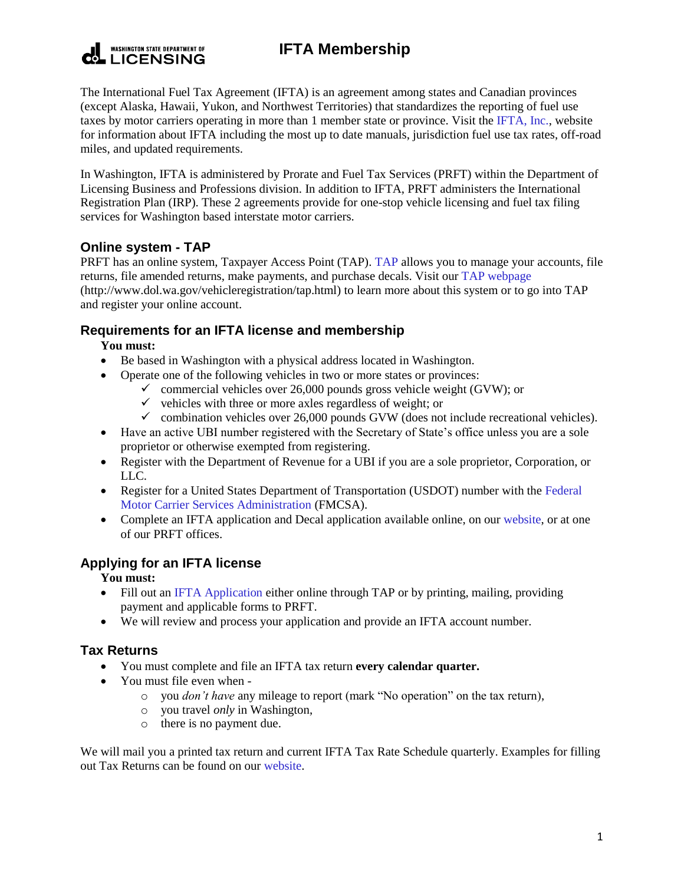#### **WASHINGTON STATE DEPARTMENT OF LICENSING**

# **IFTA Membership**

The International Fuel Tax Agreement (IFTA) is an agreement among states and Canadian provinces (except Alaska, Hawaii, Yukon, and Northwest Territories) that standardizes the reporting of fuel use taxes by motor carriers operating in more than 1 member state or province. Visit the [IFTA, Inc.,](https://www.iftach.org/) website for information about IFTA including the most up to date manuals, jurisdiction fuel use tax rates, off-road miles, and updated requirements.

In Washington, IFTA is administered by Prorate and Fuel Tax Services (PRFT) within the Department of Licensing Business and Professions division. In addition to IFTA, PRFT administers the International Registration Plan (IRP). These 2 agreements provide for one-stop vehicle licensing and fuel tax filing services for Washington based interstate motor carriers.

## **Online system - TAP**

PRFT has an online system, Taxpayer Access Point (TAP). [TAP](https://wadolprft.gentax.com/TAP/_/) allows you to manage your accounts, file returns, file amended returns, make payments, and purchase decals. Visit our [TAP webpage](http://www.dol.wa.gov/vehicleregistration/tap.html) (http://www.dol.wa.gov/vehicleregistration/tap.html) to learn more about this system or to go into TAP and register your online account.

## **Requirements for an IFTA license and membership**

#### **You must:**

- Be based in Washington with a physical address located in Washington.
- Operate one of the following vehicles in two or more states or provinces:
	- $\checkmark$  commercial vehicles over 26,000 pounds gross vehicle weight (GVW); or
	- $\checkmark$  vehicles with three or more axles regardless of weight; or
	- $\checkmark$  combination vehicles over 26,000 pounds GVW (does not include recreational vehicles).
- Have an active UBI number registered with the Secretary of State's office unless you are a sole proprietor or otherwise exempted from registering.
- Register with the Department of Revenue for a UBI if you are a sole proprietor, Corporation, or LLC.
- Register for a United States Department of Transportation (USDOT) number with the Federal [Motor Carrier Services Administration](http://www.safer.fmcsa.dot.gov/) (FMCSA).
- Complete an IFTA application and Decal application available online, on ou[r website,](http://www.dol.wa.gov/forms/formsprft.html) or at one of our PRFT offices.

## **Applying for an IFTA license**

**You must:**

- Fill out an [IFTA Application](http://www.dol.wa.gov/forms/441543.pdf) either online through TAP or by printing, mailing, providing payment and applicable forms to PRFT.
- We will review and process your application and provide an IFTA account number.

## **Tax Returns**

- You must complete and file an IFTA tax return **every calendar quarter.**
- You must file even when
	- o you *don't have* any mileage to report (mark "No operation" on the tax return),
	- o you travel *only* in Washington,
	- o there is no payment due.

We will mail you a printed tax return and current IFTA Tax Rate Schedule quarterly. Examples for filling out Tax Returns can be found on our [website.](http://www.dol.wa.gov/vehicleregistration/iftareturn.html)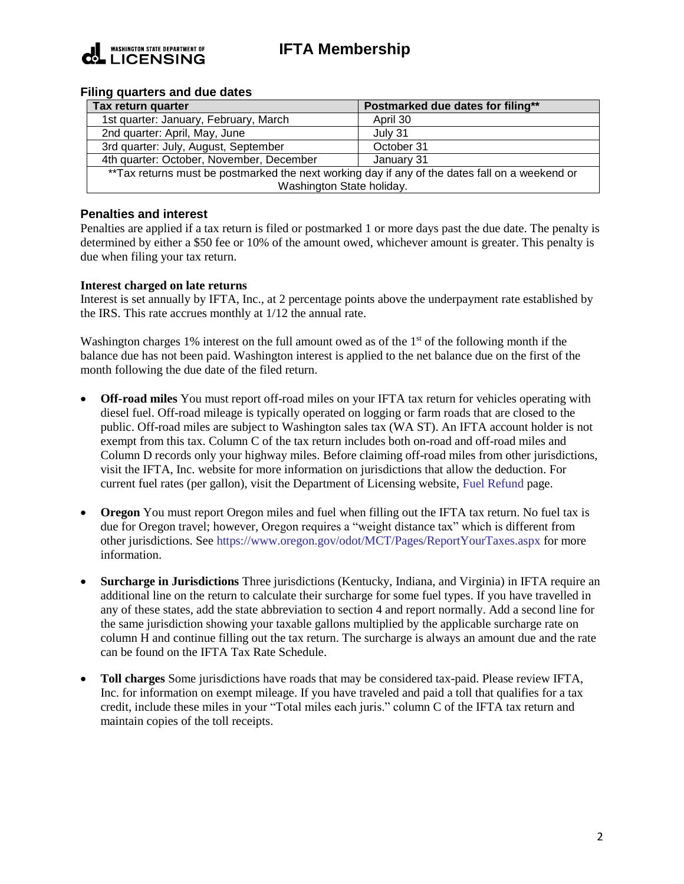

# **IFTA Membership**

#### **Filing quarters and due dates**

| Tax return quarter                                                                             | Postmarked due dates for filing** |
|------------------------------------------------------------------------------------------------|-----------------------------------|
| 1st quarter: January, February, March                                                          | April 30                          |
| 2nd quarter: April, May, June                                                                  | July 31                           |
| 3rd quarter: July, August, September                                                           | October 31                        |
| 4th quarter: October, November, December                                                       | January 31                        |
| **Tax returns must be postmarked the next working day if any of the dates fall on a weekend or |                                   |
| Washington State holiday.                                                                      |                                   |

#### **Penalties and interest**

Penalties are applied if a tax return is filed or postmarked 1 or more days past the due date. The penalty is determined by either a \$50 fee or 10% of the amount owed, whichever amount is greater. This penalty is due when filing your tax return.

#### **Interest charged on late returns**

Interest is set annually by IFTA, Inc., at 2 percentage points above the underpayment rate established by the IRS. This rate accrues monthly at 1/12 the annual rate.

Washington charges 1% interest on the full amount owed as of the  $1<sup>st</sup>$  of the following month if the balance due has not been paid. Washington interest is applied to the net balance due on the first of the month following the due date of the filed return.

- **Off-road miles** You must report off-road miles on your IFTA tax return for vehicles operating with diesel fuel. Off-road mileage is typically operated on logging or farm roads that are closed to the public. Off-road miles are subject to Washington sales tax (WA ST). An IFTA account holder is not exempt from this tax. Column C of the tax return includes both on-road and off-road miles and Column D records only your highway miles. Before claiming off-road miles from other jurisdictions, visit the IFTA, Inc. website for more information on jurisdictions that allow the deduction. For current fuel rates (per gallon), visit the Department of Licensing website, [Fuel Refund](http://www.dol.wa.gov/vehicleregistration/ftrefunds.html) page.
- **Oregon** You must report Oregon miles and fuel when filling out the IFTA tax return. No fuel tax is due for Oregon travel; however, Oregon requires a "weight distance tax" which is different from other jurisdictions. See<https://www.oregon.gov/odot/MCT/Pages/ReportYourTaxes.aspx> for more information.
- **Surcharge in Jurisdictions** Three jurisdictions (Kentucky, Indiana, and Virginia) in IFTA require an additional line on the return to calculate their surcharge for some fuel types. If you have travelled in any of these states, add the state abbreviation to section 4 and report normally. Add a second line for the same jurisdiction showing your taxable gallons multiplied by the applicable surcharge rate on column H and continue filling out the tax return. The surcharge is always an amount due and the rate can be found on the IFTA Tax Rate Schedule.
- **Toll charges** Some jurisdictions have roads that may be considered tax-paid. Please review IFTA, Inc. for information on exempt mileage. If you have traveled and paid a toll that qualifies for a tax credit, include these miles in your "Total miles each juris." column C of the IFTA tax return and maintain copies of the toll receipts.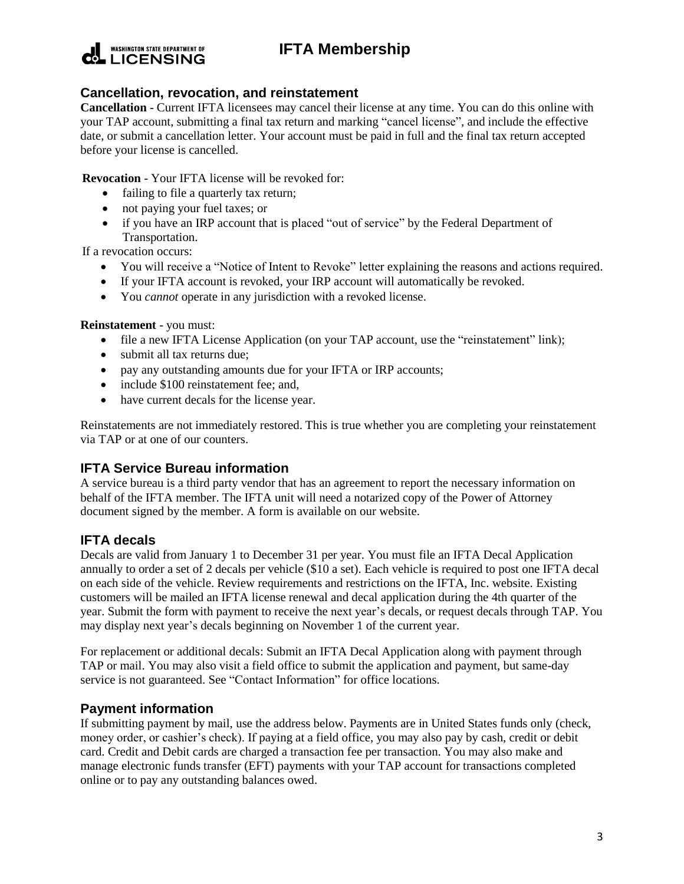

# **IFTA Membership**

#### **Cancellation, revocation, and reinstatement**

**Cancellation** - Current IFTA licensees may cancel their license at any time. You can do this online with your TAP account, submitting a final tax return and marking "cancel license", and include the effective date, or submit a cancellation letter. Your account must be paid in full and the final tax return accepted before your license is cancelled.

**Revocation** - Your IFTA license will be revoked for:

- failing to file a quarterly tax return;
- not paying your fuel taxes; or
- if you have an IRP account that is placed "out of service" by the Federal Department of Transportation.

If a revocation occurs:

- You will receive a "Notice of Intent to Revoke" letter explaining the reasons and actions required.
- If your IFTA account is revoked, your IRP account will automatically be revoked.
- You *cannot* operate in any jurisdiction with a revoked license.

**Reinstatement** - you must:

- file a new IFTA License Application (on your TAP account, use the "reinstatement" link);
- submit all tax returns due;
- pay any outstanding amounts due for your IFTA or IRP accounts;
- include \$100 reinstatement fee; and,
- have current decals for the license year.

Reinstatements are not immediately restored. This is true whether you are completing your reinstatement via TAP or at one of our counters.

## **IFTA Service Bureau information**

A service bureau is a third party vendor that has an agreement to report the necessary information on behalf of the IFTA member. The IFTA unit will need a notarized copy of the Power of Attorney document signed by the member. A form is available on our website.

## **IFTA decals**

Decals are valid from January 1 to December 31 per year. You must file an IFTA Decal Application annually to order a set of 2 decals per vehicle (\$10 a set). Each vehicle is required to post one IFTA decal on each side of the vehicle. Review requirements and restrictions on the IFTA, Inc. website. Existing customers will be mailed an IFTA license renewal and decal application during the 4th quarter of the year. Submit the form with payment to receive the next year's decals, or request decals through TAP. You may display next year's decals beginning on November 1 of the current year.

For replacement or additional decals: Submit an IFTA Decal Application along with payment through TAP or mail. You may also visit a field office to submit the application and payment, but same-day service is not guaranteed. See "Contact Information" for office locations.

## **Payment information**

If submitting payment by mail, use the address below. Payments are in United States funds only (check, money order, or cashier's check). If paying at a field office, you may also pay by cash, credit or debit card. Credit and Debit cards are charged a transaction fee per transaction. You may also make and manage electronic funds transfer (EFT) payments with your TAP account for transactions completed online or to pay any outstanding balances owed.